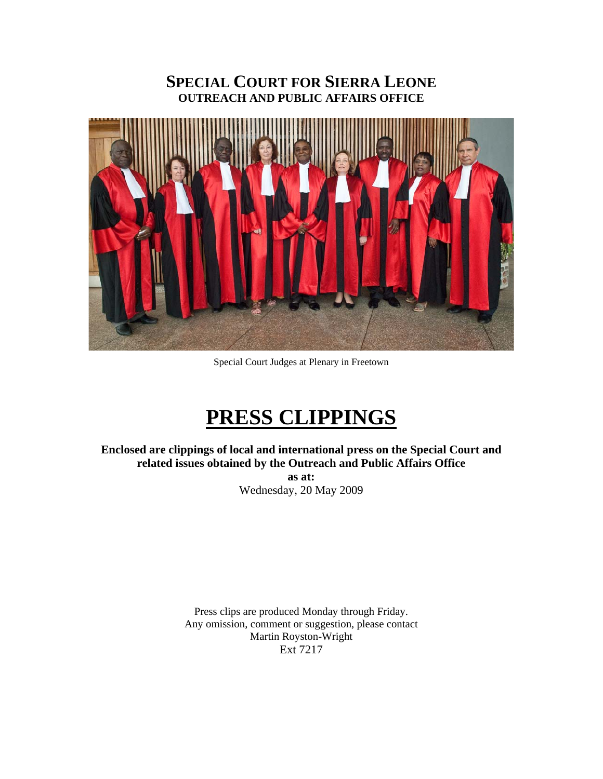# **SPECIAL COURT FOR SIERRA LEONE OUTREACH AND PUBLIC AFFAIRS OFFICE**



Special Court Judges at Plenary in Freetown

# **PRESS CLIPPINGS**

**Enclosed are clippings of local and international press on the Special Court and related issues obtained by the Outreach and Public Affairs Office** 

> **as at:**  Wednesday, 20 May 2009

Press clips are produced Monday through Friday. Any omission, comment or suggestion, please contact Martin Royston-Wright Ext 7217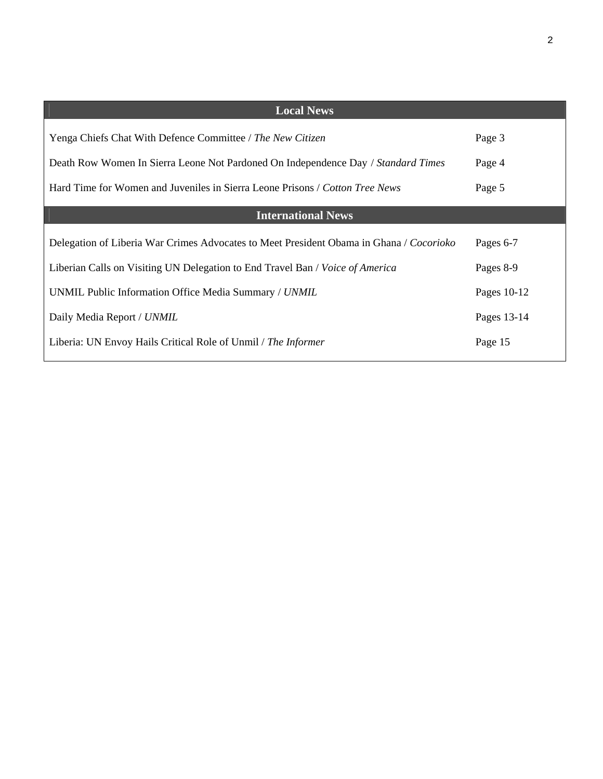| ۰,<br>۰, |  |
|----------|--|
|          |  |

| <b>Local News</b>                                                                       |             |  |
|-----------------------------------------------------------------------------------------|-------------|--|
| Yenga Chiefs Chat With Defence Committee / The New Citizen                              | Page 3      |  |
| Death Row Women In Sierra Leone Not Pardoned On Independence Day / Standard Times       | Page 4      |  |
| Hard Time for Women and Juveniles in Sierra Leone Prisons / Cotton Tree News            | Page 5      |  |
| <b>International News</b>                                                               |             |  |
| Delegation of Liberia War Crimes Advocates to Meet President Obama in Ghana / Cocorioko | Pages 6-7   |  |
| Liberian Calls on Visiting UN Delegation to End Travel Ban / Voice of America           | Pages 8-9   |  |
| UNMIL Public Information Office Media Summary / UNMIL                                   | Pages 10-12 |  |
| Daily Media Report / UNMIL                                                              | Pages 13-14 |  |
| Liberia: UN Envoy Hails Critical Role of Unmil / The Informer                           | Page 15     |  |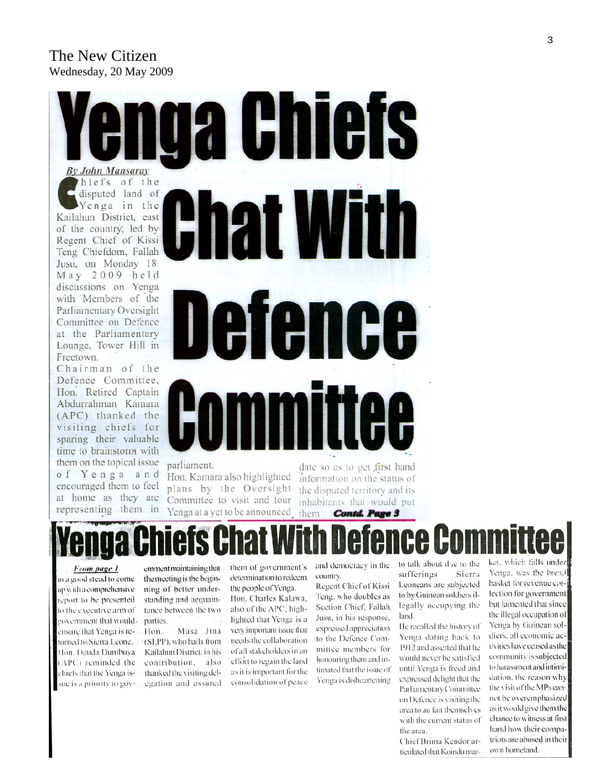# The New Citizen Wednesday, 20 May 2009



parliament.

Hon. Kamara also highlighted plans by the Oversight Committee to visit and tour Yenga at a yet to be announced

date so as to get first hand information on the status of the disputed territory and its inhabitants that would put them **Contd. Page 3** 

# ICA

From page 1

of Yenga and

encouraged them to feel

at home as they are

representing them in

in a good stead to come up with a comprehensive. report to be presented. to the executive arm of government that would. ensure that Yenga is returned to Sierra Leone. Hon. Dauda Dumbuya (APC) reminded the

emment maintaining that - them of government's the meeting is the beginning of better understanding and acquaintance between the two parties.

Hon. Musa Jina (SLPP), who hails from Kailahun District, in his contribution, also chiefs that the Yenga is-<br>thanked the visiting delsue is a priority to gov- ... egation and assured

determination to redeem

the people of Yenga. Hon. Charles Kalawa, also of the APC, highlighted that Yenga is a very important issue that needs the collaboration of all stakeholders in an effort to regain the land as it is important for the consolidation of peace

and democracy in the

country. Regent Chief of Kissi Teng, who doubles as Section Chief, Fallah. Jusu, in his response, expressed appreciation to the Defence Committee members for honouring them and intimated that the issue of Yenga is disheartening to talk about due to the sufferings Sierra Leoneans are subjected to by Guinean soldiers illegally occupying the land.

He recalled the history of Yenga dating back to 1912 and asserted that he would never be satisfied. until Yenga is freed and expressed delight that the Parliamentary Committee on Defence is visiting the area to au fait themselves with the current status of the area.

Chief Brima Kendor articulated that Koindu market, which falls under Yenga, was the bread basket for revenue coilection for government but lamented that since the illegal occupation of Yenga by Guinean soldiers, all economic activities have ceased as the community is subjected to harassment and intimidation, the reason why the visit of the MPs cannot be overemphasized as it would give them the chance to witness at first hand how their compatriots are abused in their own homeland.

3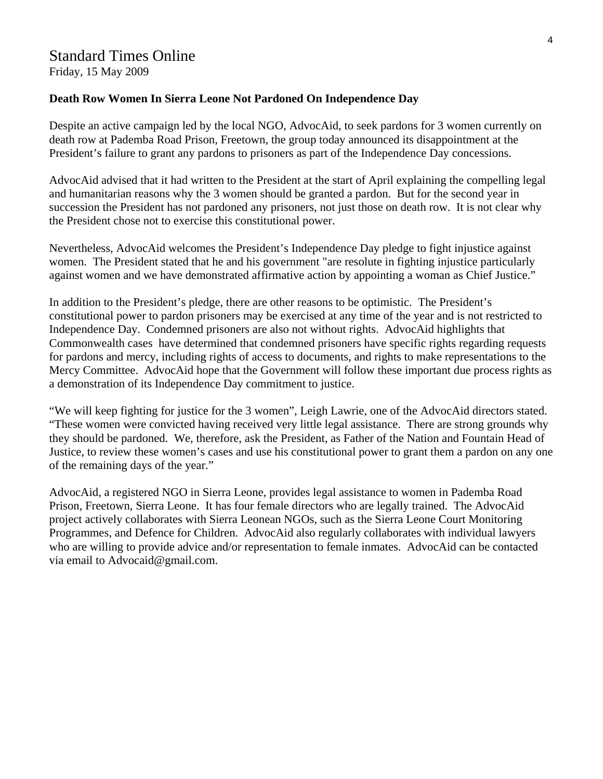# Standard Times Online

Friday, 15 May 2009

#### **Death Row Women In Sierra Leone Not Pardoned On Independence Day**

Despite an active campaign led by the local NGO, AdvocAid, to seek pardons for 3 women currently on death row at Pademba Road Prison, Freetown, the group today announced its disappointment at the President's failure to grant any pardons to prisoners as part of the Independence Day concessions.

AdvocAid advised that it had written to the President at the start of April explaining the compelling legal and humanitarian reasons why the 3 women should be granted a pardon. But for the second year in succession the President has not pardoned any prisoners, not just those on death row. It is not clear why the President chose not to exercise this constitutional power.

Nevertheless, AdvocAid welcomes the President's Independence Day pledge to fight injustice against women. The President stated that he and his government "are resolute in fighting injustice particularly against women and we have demonstrated affirmative action by appointing a woman as Chief Justice."

In addition to the President's pledge, there are other reasons to be optimistic. The President's constitutional power to pardon prisoners may be exercised at any time of the year and is not restricted to Independence Day. Condemned prisoners are also not without rights. AdvocAid highlights that Commonwealth cases have determined that condemned prisoners have specific rights regarding requests for pardons and mercy, including rights of access to documents, and rights to make representations to the Mercy Committee. AdvocAid hope that the Government will follow these important due process rights as a demonstration of its Independence Day commitment to justice.

"We will keep fighting for justice for the 3 women", Leigh Lawrie, one of the AdvocAid directors stated. "These women were convicted having received very little legal assistance. There are strong grounds why they should be pardoned. We, therefore, ask the President, as Father of the Nation and Fountain Head of Justice, to review these women's cases and use his constitutional power to grant them a pardon on any one of the remaining days of the year."

AdvocAid, a registered NGO in Sierra Leone, provides legal assistance to women in Pademba Road Prison, Freetown, Sierra Leone. It has four female directors who are legally trained. The AdvocAid project actively collaborates with Sierra Leonean NGOs, such as the Sierra Leone Court Monitoring Programmes, and Defence for Children. AdvocAid also regularly collaborates with individual lawyers who are willing to provide advice and/or representation to female inmates. AdvocAid can be contacted via email to Advocaid@gmail.com.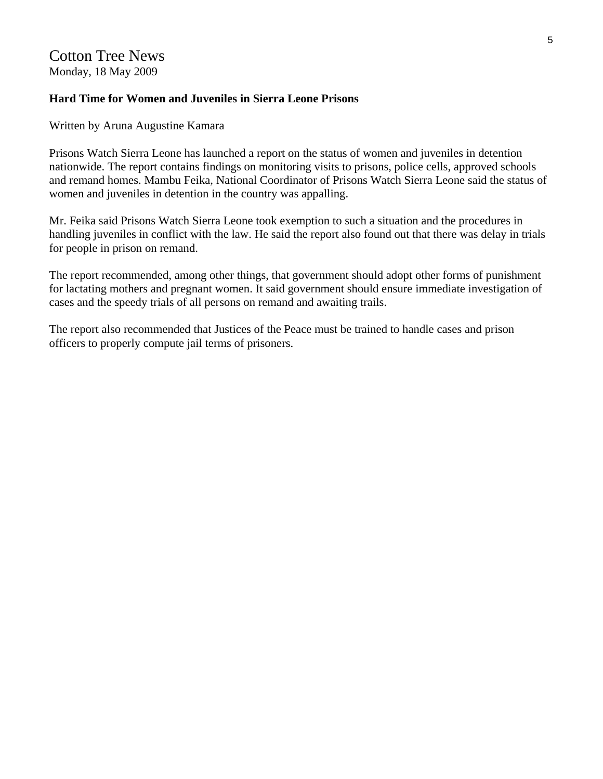### **Hard Time for Women and Juveniles in Sierra Leone Prisons**

Written by Aruna Augustine Kamara

Prisons Watch Sierra Leone has launched a report on the status of women and juveniles in detention nationwide. The report contains findings on monitoring visits to prisons, police cells, approved schools and remand homes. Mambu Feika, National Coordinator of Prisons Watch Sierra Leone said the status of women and juveniles in detention in the country was appalling.

Mr. Feika said Prisons Watch Sierra Leone took exemption to such a situation and the procedures in handling juveniles in conflict with the law. He said the report also found out that there was delay in trials for people in prison on remand.

The report recommended, among other things, that government should adopt other forms of punishment for lactating mothers and pregnant women. It said government should ensure immediate investigation of cases and the speedy trials of all persons on remand and awaiting trails.

The report also recommended that Justices of the Peace must be trained to handle cases and prison officers to properly compute jail terms of prisoners.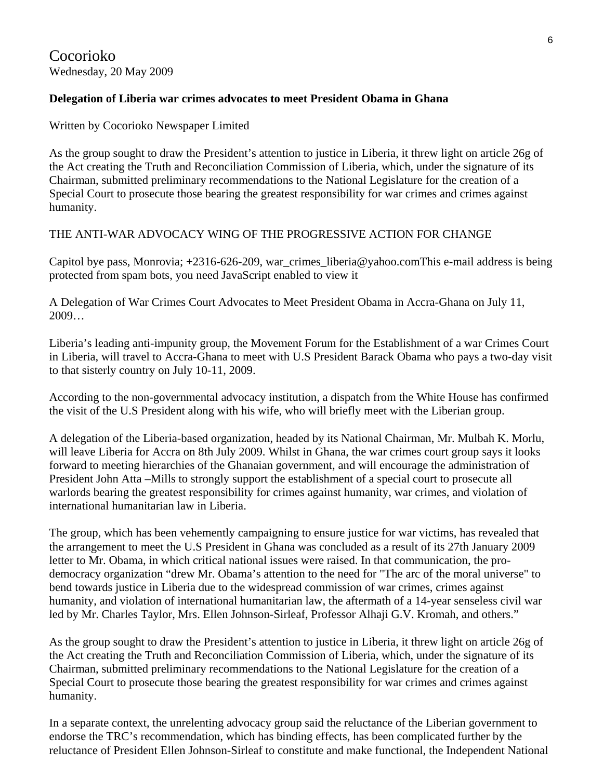# **Delegation of Liberia war crimes advocates to meet President Obama in Ghana**

Written by Cocorioko Newspaper Limited

As the group sought to draw the President's attention to justice in Liberia, it threw light on article 26g of the Act creating the Truth and Reconciliation Commission of Liberia, which, under the signature of its Chairman, submitted preliminary recommendations to the National Legislature for the creation of a Special Court to prosecute those bearing the greatest responsibility for war crimes and crimes against humanity.

## THE ANTI-WAR ADVOCACY WING OF THE PROGRESSIVE ACTION FOR CHANGE

Capitol bye pass, Monrovia;  $+2316-626-209$ , war\_crimes\_liberia@yahoo.comThis e-mail address is being protected from spam bots, you need JavaScript enabled to view it

A Delegation of War Crimes Court Advocates to Meet President Obama in Accra-Ghana on July 11, 2009…

Liberia's leading anti-impunity group, the Movement Forum for the Establishment of a war Crimes Court in Liberia, will travel to Accra-Ghana to meet with U.S President Barack Obama who pays a two-day visit to that sisterly country on July 10-11, 2009.

According to the non-governmental advocacy institution, a dispatch from the White House has confirmed the visit of the U.S President along with his wife, who will briefly meet with the Liberian group.

A delegation of the Liberia-based organization, headed by its National Chairman, Mr. Mulbah K. Morlu, will leave Liberia for Accra on 8th July 2009. Whilst in Ghana, the war crimes court group says it looks forward to meeting hierarchies of the Ghanaian government, and will encourage the administration of President John Atta –Mills to strongly support the establishment of a special court to prosecute all warlords bearing the greatest responsibility for crimes against humanity, war crimes, and violation of international humanitarian law in Liberia.

The group, which has been vehemently campaigning to ensure justice for war victims, has revealed that the arrangement to meet the U.S President in Ghana was concluded as a result of its 27th January 2009 letter to Mr. Obama, in which critical national issues were raised. In that communication, the prodemocracy organization "drew Mr. Obama's attention to the need for "The arc of the moral universe" to bend towards justice in Liberia due to the widespread commission of war crimes, crimes against humanity, and violation of international humanitarian law, the aftermath of a 14-year senseless civil war led by Mr. Charles Taylor, Mrs. Ellen Johnson-Sirleaf, Professor Alhaji G.V. Kromah, and others."

As the group sought to draw the President's attention to justice in Liberia, it threw light on article 26g of the Act creating the Truth and Reconciliation Commission of Liberia, which, under the signature of its Chairman, submitted preliminary recommendations to the National Legislature for the creation of a Special Court to prosecute those bearing the greatest responsibility for war crimes and crimes against humanity.

In a separate context, the unrelenting advocacy group said the reluctance of the Liberian government to endorse the TRC's recommendation, which has binding effects, has been complicated further by the reluctance of President Ellen Johnson-Sirleaf to constitute and make functional, the Independent National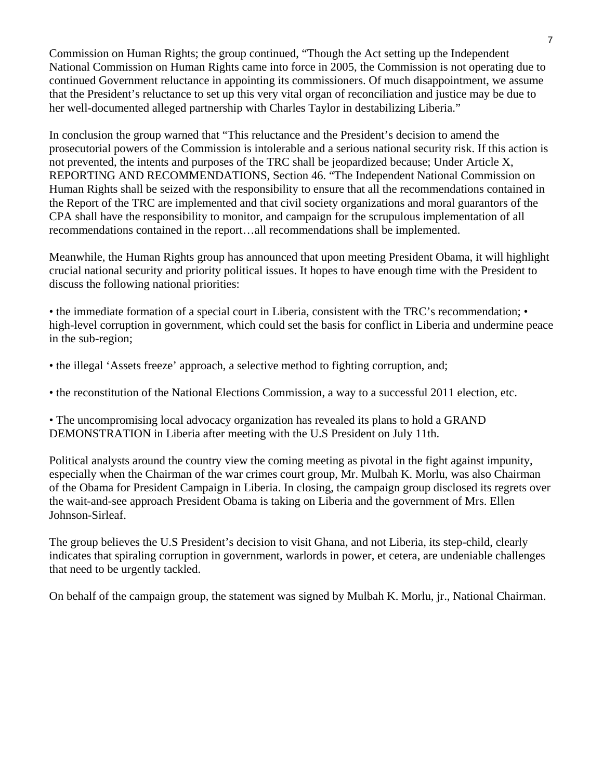Commission on Human Rights; the group continued, "Though the Act setting up the Independent National Commission on Human Rights came into force in 2005, the Commission is not operating due to continued Government reluctance in appointing its commissioners. Of much disappointment, we assume that the President's reluctance to set up this very vital organ of reconciliation and justice may be due to her well-documented alleged partnership with Charles Taylor in destabilizing Liberia."

In conclusion the group warned that "This reluctance and the President's decision to amend the prosecutorial powers of the Commission is intolerable and a serious national security risk. If this action is not prevented, the intents and purposes of the TRC shall be jeopardized because; Under Article X, REPORTING AND RECOMMENDATIONS, Section 46. "The Independent National Commission on Human Rights shall be seized with the responsibility to ensure that all the recommendations contained in the Report of the TRC are implemented and that civil society organizations and moral guarantors of the CPA shall have the responsibility to monitor, and campaign for the scrupulous implementation of all recommendations contained in the report…all recommendations shall be implemented.

Meanwhile, the Human Rights group has announced that upon meeting President Obama, it will highlight crucial national security and priority political issues. It hopes to have enough time with the President to discuss the following national priorities:

• the immediate formation of a special court in Liberia, consistent with the TRC's recommendation; • high-level corruption in government, which could set the basis for conflict in Liberia and undermine peace in the sub-region;

- the illegal 'Assets freeze' approach, a selective method to fighting corruption, and;
- the reconstitution of the National Elections Commission, a way to a successful 2011 election, etc.

• The uncompromising local advocacy organization has revealed its plans to hold a GRAND DEMONSTRATION in Liberia after meeting with the U.S President on July 11th.

Political analysts around the country view the coming meeting as pivotal in the fight against impunity, especially when the Chairman of the war crimes court group, Mr. Mulbah K. Morlu, was also Chairman of the Obama for President Campaign in Liberia. In closing, the campaign group disclosed its regrets over the wait-and-see approach President Obama is taking on Liberia and the government of Mrs. Ellen Johnson-Sirleaf.

The group believes the U.S President's decision to visit Ghana, and not Liberia, its step-child, clearly indicates that spiraling corruption in government, warlords in power, et cetera, are undeniable challenges that need to be urgently tackled.

On behalf of the campaign group, the statement was signed by Mulbah K. Morlu, jr., National Chairman.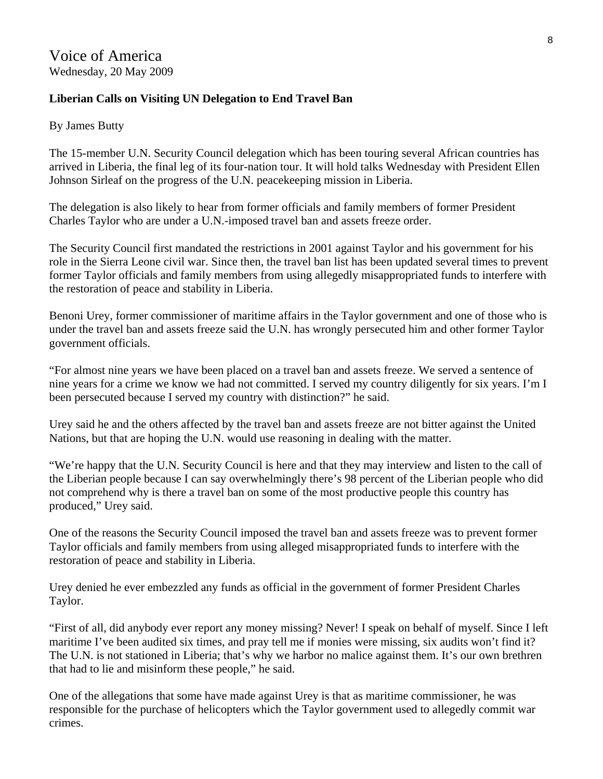# **Liberian Calls on Visiting UN Delegation to End Travel Ban**

By James Butty

The 15-member U.N. Security Council delegation which has been touring several African countries has arrived in Liberia, the final leg of its four-nation tour. It will hold talks Wednesday with President Ellen Johnson Sirleaf on the progress of the U.N. peacekeeping mission in Liberia.

The delegation is also likely to hear from former officials and family members of former President Charles Taylor who are under a U.N.-imposed travel ban and assets freeze order.

The Security Council first mandated the restrictions in 2001 against Taylor and his government for his role in the Sierra Leone civil war. Since then, the travel ban list has been updated several times to prevent former Taylor officials and family members from using allegedly misappropriated funds to interfere with the restoration of peace and stability in Liberia.

Benoni Urey, former commissioner of maritime affairs in the Taylor government and one of those who is under the travel ban and assets freeze said the U.N. has wrongly persecuted him and other former Taylor government officials.

"For almost nine years we have been placed on a travel ban and assets freeze. We served a sentence of nine years for a crime we know we had not committed. I served my country diligently for six years. I'm I been persecuted because I served my country with distinction?" he said.

Urey said he and the others affected by the travel ban and assets freeze are not bitter against the United Nations, but that are hoping the U.N. would use reasoning in dealing with the matter.

"We're happy that the U.N. Security Council is here and that they may interview and listen to the call of the Liberian people because I can say overwhelmingly there's 98 percent of the Liberian people who did not comprehend why is there a travel ban on some of the most productive people this country has produced," Urey said.

One of the reasons the Security Council imposed the travel ban and assets freeze was to prevent former Taylor officials and family members from using alleged misappropriated funds to interfere with the restoration of peace and stability in Liberia.

Urey denied he ever embezzled any funds as official in the government of former President Charles Taylor.

"First of all, did anybody ever report any money missing? Never! I speak on behalf of myself. Since I left maritime I've been audited six times, and pray tell me if monies were missing, six audits won't find it? The U.N. is not stationed in Liberia; that's why we harbor no malice against them. It's our own brethren that had to lie and misinform these people," he said.

One of the allegations that some have made against Urey is that as maritime commissioner, he was responsible for the purchase of helicopters which the Taylor government used to allegedly commit war crimes.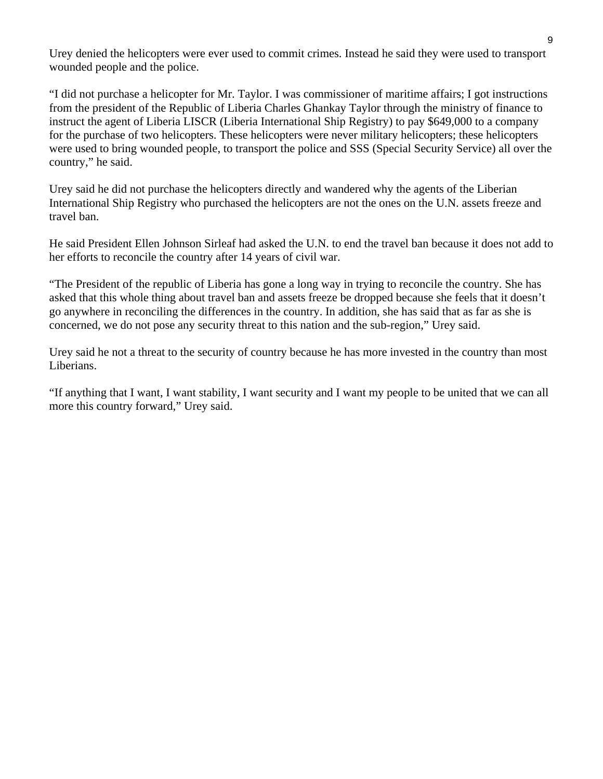Urey denied the helicopters were ever used to commit crimes. Instead he said they were used to transport wounded people and the police.

"I did not purchase a helicopter for Mr. Taylor. I was commissioner of maritime affairs; I got instructions from the president of the Republic of Liberia Charles Ghankay Taylor through the ministry of finance to instruct the agent of Liberia LISCR (Liberia International Ship Registry) to pay \$649,000 to a company for the purchase of two helicopters. These helicopters were never military helicopters; these helicopters were used to bring wounded people, to transport the police and SSS (Special Security Service) all over the country," he said.

Urey said he did not purchase the helicopters directly and wandered why the agents of the Liberian International Ship Registry who purchased the helicopters are not the ones on the U.N. assets freeze and travel ban.

He said President Ellen Johnson Sirleaf had asked the U.N. to end the travel ban because it does not add to her efforts to reconcile the country after 14 years of civil war.

"The President of the republic of Liberia has gone a long way in trying to reconcile the country. She has asked that this whole thing about travel ban and assets freeze be dropped because she feels that it doesn't go anywhere in reconciling the differences in the country. In addition, she has said that as far as she is concerned, we do not pose any security threat to this nation and the sub-region," Urey said.

Urey said he not a threat to the security of country because he has more invested in the country than most Liberians.

"If anything that I want, I want stability, I want security and I want my people to be united that we can all more this country forward," Urey said.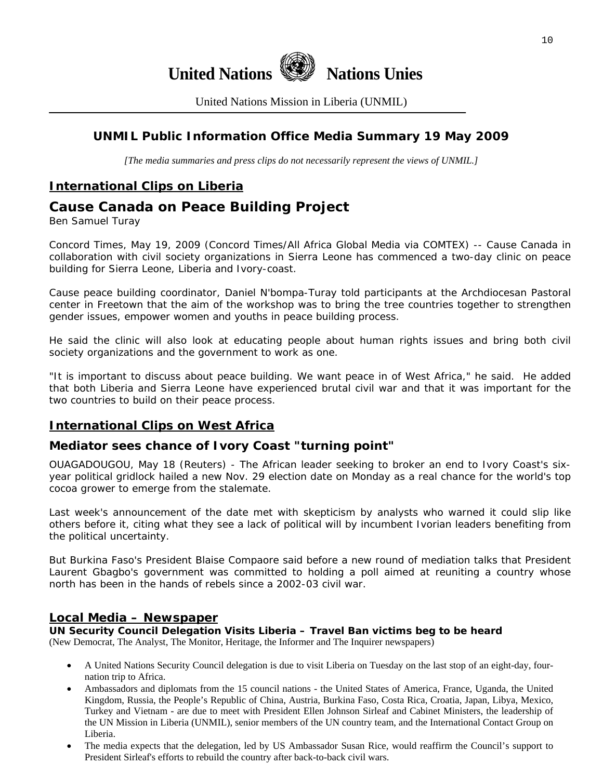

United Nations Mission in Liberia (UNMIL)

# **UNMIL Public Information Office Media Summary 19 May 2009**

*[The media summaries and press clips do not necessarily represent the views of UNMIL.]* 

# **International Clips on Liberia**

# **Cause Canada on Peace Building Project**

Ben Samuel Turay

Concord Times, May 19, 2009 (Concord Times/All Africa Global Media via COMTEX) -- Cause Canada in collaboration with civil society organizations in Sierra Leone has commenced a two-day clinic on peace building for Sierra Leone, Liberia and Ivory-coast.

Cause peace building coordinator, Daniel N'bompa-Turay told participants at the Archdiocesan Pastoral center in Freetown that the aim of the workshop was to bring the tree countries together to strengthen gender issues, empower women and youths in peace building process.

He said the clinic will also look at educating people about human rights issues and bring both civil society organizations and the government to work as one.

"It is important to discuss about peace building. We want peace in of West Africa," he said. He added that both Liberia and Sierra Leone have experienced brutal civil war and that it was important for the two countries to build on their peace process.

## **International Clips on West Africa**

#### **Mediator sees chance of Ivory Coast "turning point"**

OUAGADOUGOU, May 18 (Reuters) - The African leader seeking to broker an end to Ivory Coast's sixyear political gridlock hailed a new Nov. 29 election date on Monday as a real chance for the world's top cocoa grower to emerge from the stalemate.

Last week's announcement of the date met with skepticism by analysts who warned it could slip like others before it, citing what they see a lack of political will by incumbent Ivorian leaders benefiting from the political uncertainty.

But Burkina Faso's President Blaise Compaore said before a new round of mediation talks that President Laurent Gbagbo's government was committed to holding a poll aimed at reuniting a country whose north has been in the hands of rebels since a 2002-03 civil war.

#### **Local Media – Newspaper**

**UN Security Council Delegation Visits Liberia – Travel Ban victims beg to be heard** 

(New Democrat, The Analyst, The Monitor, Heritage, the Informer and The Inquirer newspapers)

- A United Nations Security Council delegation is due to visit Liberia on Tuesday on the last stop of an eight-day, fournation trip to Africa.
- Ambassadors and diplomats from the 15 council nations the United States of America, France, Uganda, the United Kingdom, Russia, the People's Republic of China, Austria, Burkina Faso, Costa Rica, Croatia, Japan, Libya, Mexico, Turkey and Vietnam - are due to meet with President Ellen Johnson Sirleaf and Cabinet Ministers, the leadership of the UN Mission in Liberia (UNMIL), senior members of the UN country team, and the International Contact Group on Liberia.
- The media expects that the delegation, led by US Ambassador Susan Rice, would reaffirm the Council's support to President Sirleaf's efforts to rebuild the country after back-to-back civil wars.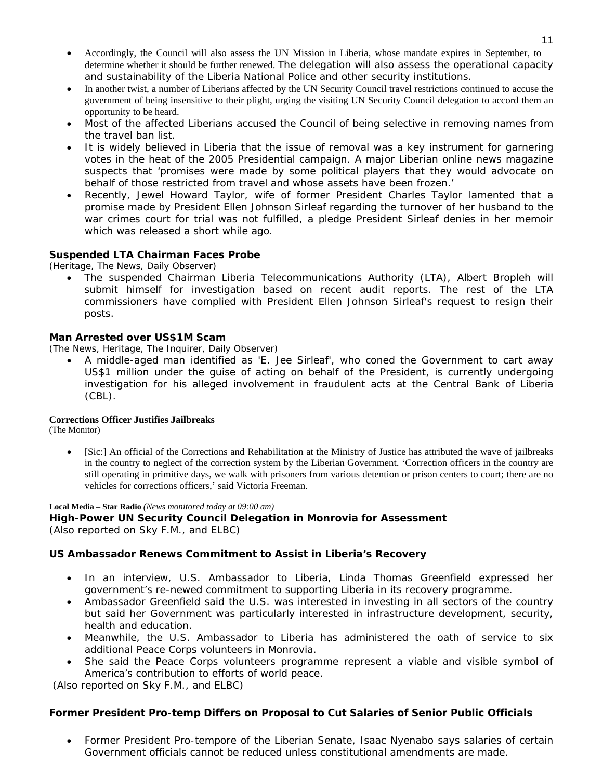- Accordingly, the Council will also assess the UN Mission in Liberia, whose mandate expires in September, to determine whether it should be further renewed. The delegation will also assess the operational capacity and sustainability of the Liberia National Police and other security institutions.
- In another twist, a number of Liberians affected by the UN Security Council travel restrictions continued to accuse the government of being insensitive to their plight, urging the visiting UN Security Council delegation to accord them an opportunity to be heard.
- Most of the affected Liberians accused the Council of being selective in removing names from the travel ban list.
- It is widely believed in Liberia that the issue of removal was a key instrument for garnering votes in the heat of the 2005 Presidential campaign. A major Liberian online news magazine suspects that 'promises were made by some political players that they would advocate on behalf of those restricted from travel and whose assets have been frozen.'
- Recently, Jewel Howard Taylor, wife of former President Charles Taylor lamented that a promise made by President Ellen Johnson Sirleaf regarding the turnover of her husband to the war crimes court for trial was not fulfilled, a pledge President Sirleaf denies in her memoir which was released a short while ago.

#### **Suspended LTA Chairman Faces Probe**

(Heritage, The News, Daily Observer)

• The suspended Chairman Liberia Telecommunications Authority (LTA), Albert Bropleh will submit himself for investigation based on recent audit reports. The rest of the LTA commissioners have complied with President Ellen Johnson Sirleaf's request to resign their posts.

#### **Man Arrested over US\$1M Scam**

(The News, Heritage, The Inquirer, Daily Observer)

• A middle-aged man identified as 'E. Jee Sirleaf', who coned the Government to cart away US\$1 million under the guise of acting on behalf of the President, is currently undergoing investigation for his alleged involvement in fraudulent acts at the Central Bank of Liberia (CBL).

#### **Corrections Officer Justifies Jailbreaks**

(The Monitor)

• [Sic:] An official of the Corrections and Rehabilitation at the Ministry of Justice has attributed the wave of jailbreaks in the country to neglect of the correction system by the Liberian Government. 'Correction officers in the country are still operating in primitive days, we walk with prisoners from various detention or prison centers to court; there are no vehicles for corrections officers,' said Victoria Freeman.

#### **Local Media – Star Radio** *(News monitored today at 09:00 am)*

**High-Power UN Security Council Delegation in Monrovia for Assessment**  (*Also reported on Sky F.M., and ELBC*)

#### **US Ambassador Renews Commitment to Assist in Liberia's Recovery**

- In an interview, U.S. Ambassador to Liberia, Linda Thomas Greenfield expressed her government's re-newed commitment to supporting Liberia in its recovery programme.
- Ambassador Greenfield said the U.S. was interested in investing in all sectors of the country but said her Government was particularly interested in infrastructure development, security, health and education.
- Meanwhile, the U.S. Ambassador to Liberia has administered the oath of service to six additional Peace Corps volunteers in Monrovia.
- She said the Peace Corps volunteers programme represent a viable and visible symbol of America's contribution to efforts of world peace.

(*Also reported on Sky F.M., and ELBC*)

#### **Former President Pro-temp Differs on Proposal to Cut Salaries of Senior Public Officials**

• Former President Pro-tempore of the Liberian Senate, Isaac Nyenabo says salaries of certain Government officials cannot be reduced unless constitutional amendments are made.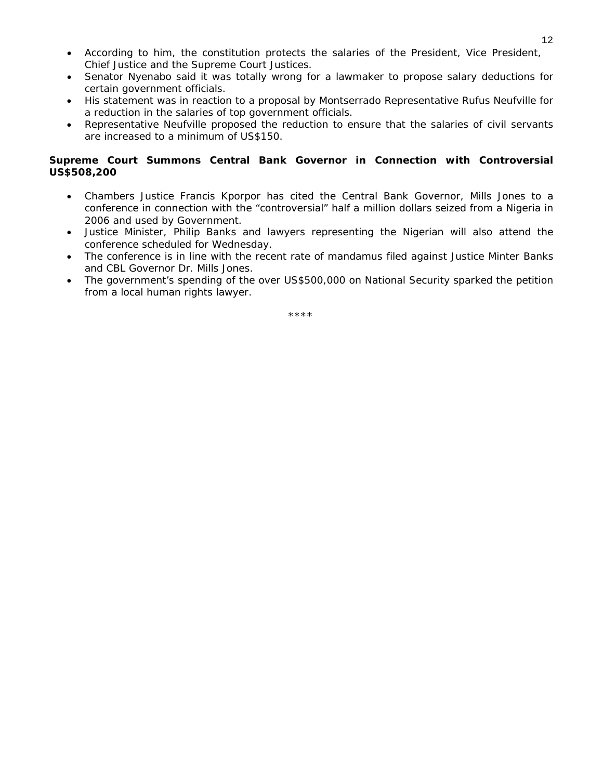- According to him, the constitution protects the salaries of the President, Vice President, Chief Justice and the Supreme Court Justices.
- Senator Nyenabo said it was totally wrong for a lawmaker to propose salary deductions for certain government officials.
- His statement was in reaction to a proposal by Montserrado Representative Rufus Neufville for a reduction in the salaries of top government officials.
- Representative Neufville proposed the reduction to ensure that the salaries of civil servants are increased to a minimum of US\$150.

#### **Supreme Court Summons Central Bank Governor in Connection with Controversial US\$508,200**

- Chambers Justice Francis Kporpor has cited the Central Bank Governor, Mills Jones to a conference in connection with the "controversial" half a million dollars seized from a Nigeria in 2006 and used by Government.
- Justice Minister, Philip Banks and lawyers representing the Nigerian will also attend the conference scheduled for Wednesday.
- The conference is in line with the recent rate of mandamus filed against Justice Minter Banks and CBL Governor Dr. Mills Jones.
- The government's spending of the over US\$500,000 on National Security sparked the petition from a local human rights lawyer.

\*\*\*\*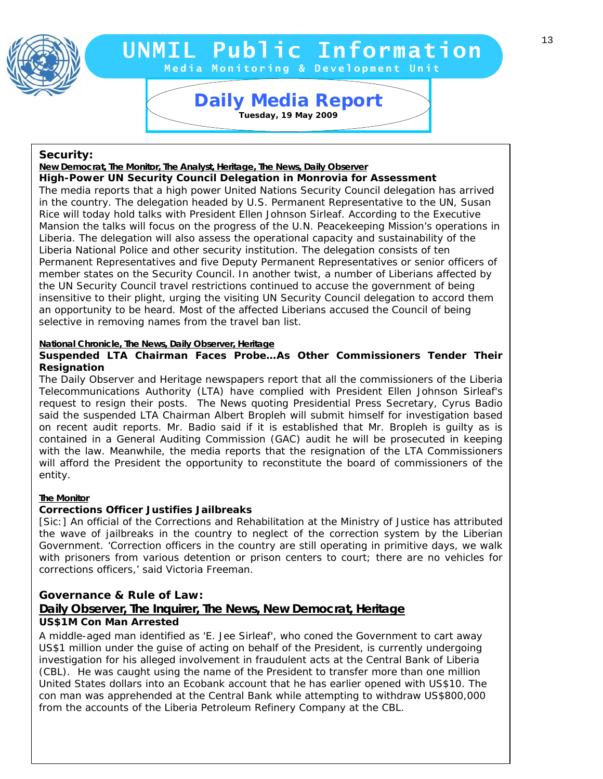

# **UNMIL Public Information**

**Media Monitoring & Development Unit** 

# **Daily Media Report Tuesday, 19 May 2009**

#### **Security:**

*New Democrat, The Monitor, The Analyst, Heritage, The News, Daily Observer*

Rice will today nold talks with President Ellen Johnson Siriear. According to the Executive<br>Mansion the talks will focus on the progress of the U.N. Peacekeeping Mission's operations in Liberia. The delegation will also assess the operational capacity and sustainability of the The media reports that a high power United Nations Security Council delegation has arrived in the country. The delegation headed by U.S. Permanent Representative to the UN, Susan Rice will today hold talks with President Ellen Johnson Sirleaf. According to the Executive Liberia National Police and other security institution. The delegation consists of ten Permanent Representatives and five Deputy Permanent Representatives or senior officers of member states on the Security Council. In another twist, a number of Liberians affected by the UN Security Council travel restrictions continued to accuse the government of being insensitive to their plight, urging the visiting UN Security Council delegation to accord them an opportunity to be heard. Most of the affected Liberians accused the Council of being selective in removing names from the travel ban list. *High-Power UN Security Council Delegation in Monrovia for Assessment* 

#### *National Chronicle, The News, Daily Observer, Heritage*

#### *Suspended LTA Chairman Faces Probe…As Other Commissioners Tender Their Resignation*

The Daily Observer and Heritage newspapers report that all the commissioners of the Liberia Telecommunications Authority (LTA) have complied with President Ellen Johnson Sirleaf's request to resign their posts. The News quoting Presidential Press Secretary, Cyrus Badio said the suspended LTA Chairman Albert Bropleh will submit himself for investigation based on recent audit reports. Mr. Badio said if it is established that Mr. Bropleh is guilty as is contained in a General Auditing Commission (GAC) audit he will be prosecuted in keeping with the law. Meanwhile, the media reports that the resignation of the LTA Commissioners will afford the President the opportunity to reconstitute the board of commissioners of the entity.

#### *The Monitor*

#### *Corrections Officer Justifies Jailbreaks*

[Sic:] An official of the Corrections and Rehabilitation at the Ministry of Justice has attributed the wave of jailbreaks in the country to neglect of the correction system by the Liberian Government. 'Correction officers in the country are still operating in primitive days, we walk with prisoners from various detention or prison centers to court; there are no vehicles for corrections officers,' said Victoria Freeman.

#### **Governance & Rule of Law:**  *Daily Observer, The Inquirer, The News, New Democrat, Heritage US\$1M Con Man Arrested*

A middle-aged man identified as 'E. Jee Sirleaf', who coned the Government to cart away US\$1 million under the guise of acting on behalf of the President, is currently undergoing investigation for his alleged involvement in fraudulent acts at the Central Bank of Liberia (CBL). He was caught using the name of the President to transfer more than one million United States dollars into an Ecobank account that he has earlier opened with US\$10. The con man was apprehended at the Central Bank while attempting to withdraw US\$800,000 from the accounts of the Liberia Petroleum Refinery Company at the CBL.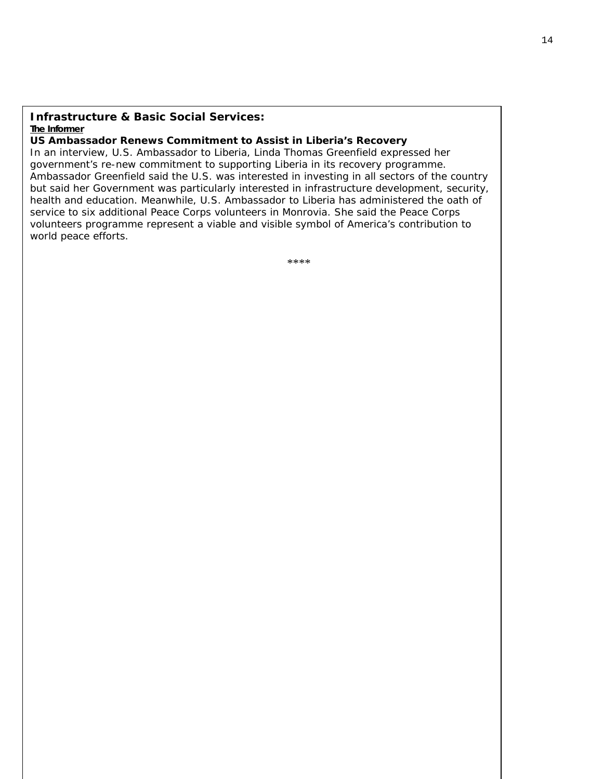#### **Infrastructure & Basic Social Services:** *The Informer*

#### *US Ambassador Renews Commitment to Assist in Liberia's Recovery*

government's re-new commitment to supporting Liberia in its recovery programme. In an interview, U.S. Ambassador to Liberia, Linda Thomas Greenfield expressed her Ambassador Greenfield said the U.S. was interested in investing in all sectors of the country volunteers programme represent a viable and visible symbol of America's contribution to but said her Government was particularly interested in infrastructure development, security, health and education. Meanwhile, U.S. Ambassador to Liberia has administered the oath of service to six additional Peace Corps volunteers in Monrovia. She said the Peace Corps world peace efforts.

\*\*\*\*\*